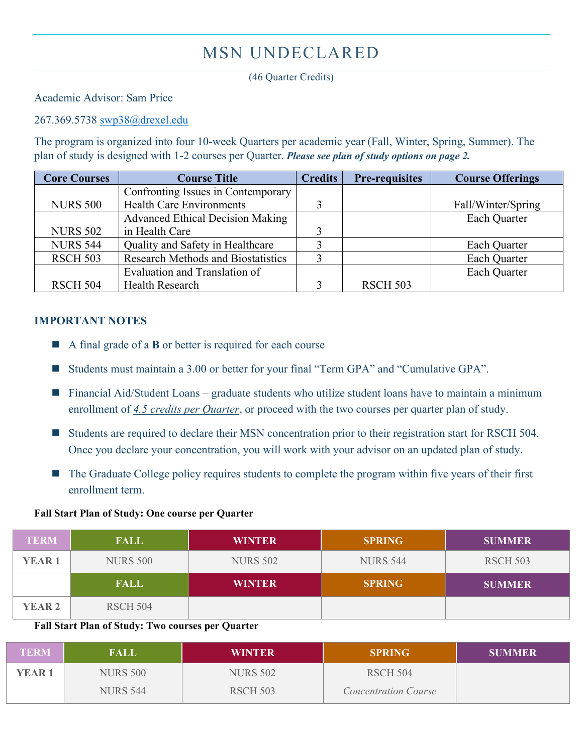## MSN UNDECLARED

(46 Quarter Credits)

Academic Advisor: Sam Price

267.369.5738 [swp38@drexel.edu](mailto:swp38@drexel.edu)

The program is organized into four 10-week Quarters per academic year (Fall, Winter, Spring, Summer). The plan of study is designed with 1-2 courses per Quarter. *Please see plan of study options on page 2.* 

| <b>Core Courses</b> | <b>Course Title</b>                       | <b>Credits</b> | <b>Pre-requisites</b> | <b>Course Offerings</b> |
|---------------------|-------------------------------------------|----------------|-----------------------|-------------------------|
|                     | Confronting Issues in Contemporary        |                |                       |                         |
| <b>NURS 500</b>     | <b>Health Care Environments</b>           |                |                       | Fall/Winter/Spring      |
|                     | <b>Advanced Ethical Decision Making</b>   |                |                       | Each Quarter            |
| <b>NURS 502</b>     | in Health Care                            |                |                       |                         |
| <b>NURS 544</b>     | Quality and Safety in Healthcare          |                |                       | Each Quarter            |
| <b>RSCH 503</b>     | <b>Research Methods and Biostatistics</b> |                |                       | Each Quarter            |
|                     | Evaluation and Translation of             |                |                       | Each Quarter            |
| <b>RSCH 504</b>     | <b>Health Research</b>                    |                | <b>RSCH 503</b>       |                         |

## **IMPORTANT NOTES**

- A final grade of a **B** or better is required for each course
- Students must maintain a 3.00 or better for your final "Term GPA" and "Cumulative GPA".
- $\blacksquare$  Financial Aid/Student Loans graduate students who utilize student loans have to maintain a minimum enrollment of *4.5 credits per Quarter*, or proceed with the two courses per quarter plan of study.
- Students are required to declare their MSN concentration prior to their registration start for RSCH 504. Once you declare your concentration, you will work with your advisor on an updated plan of study.
- The Graduate College policy requires students to complete the program within five years of their first enrollment term.

## **Fall Start Plan of Study: One course per Quarter**

| <b>TERM</b>   | <b>FALL</b>     | <b>WINTER</b>   | <b>SPRING</b>   | <b>SUMMER</b>   |
|---------------|-----------------|-----------------|-----------------|-----------------|
| <b>YEAR1</b>  | <b>NURS 500</b> | <b>NURS 502</b> | <b>NURS 544</b> | <b>RSCH 503</b> |
|               | <b>FALL</b>     | <b>WINTER</b>   | <b>SPRING</b>   | <b>SUMMER</b>   |
| <b>YEAR 2</b> | RSCH 504        |                 |                 |                 |

## **Fall Start Plan of Study: Two courses per Quarter**

| <b>TERM</b>  | FALL            | WINTER          | <b>SPRING</b>               | <b>SUMMER</b> |
|--------------|-----------------|-----------------|-----------------------------|---------------|
| <b>YEAR1</b> | <b>NURS 500</b> | <b>NURS 502</b> | <b>RSCH 504</b>             |               |
|              | <b>NURS 544</b> | <b>RSCH 503</b> | <b>Concentration Course</b> |               |